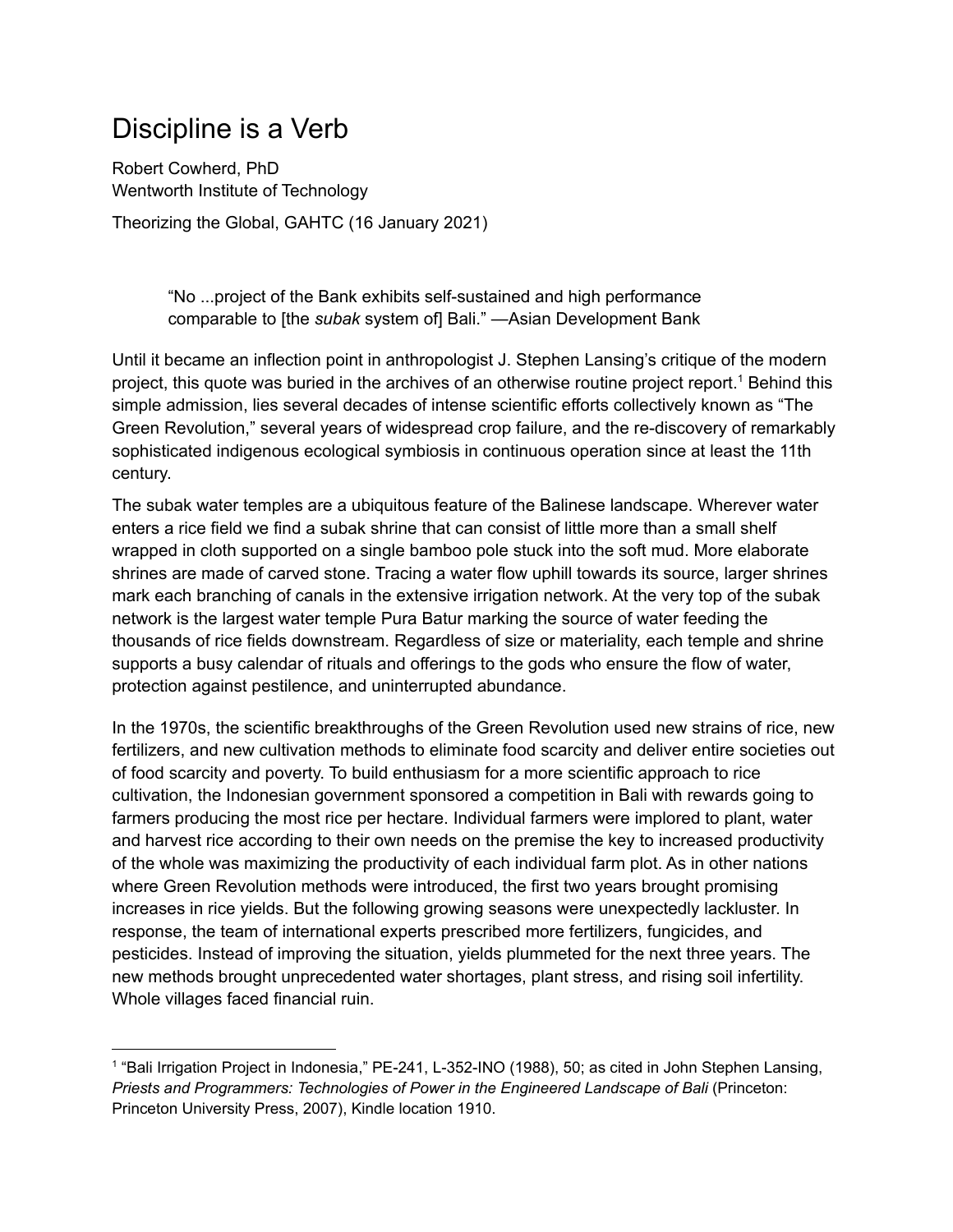## Discipline is a Verb

Robert Cowherd, PhD Wentworth Institute of Technology Theorizing the Global, GAHTC (16 January 2021)

> "No ...project of the Bank exhibits self-sustained and high performance comparable to [the *subak* system of] Bali." —Asian Development Bank

Until it became an inflection point in anthropologist J. Stephen Lansing's critique of the modern project, this quote was buried in the archives of an otherwise routine project report. <sup>1</sup> Behind this simple admission, lies several decades of intense scientific efforts collectively known as "The Green Revolution," several years of widespread crop failure, and the re-discovery of remarkably sophisticated indigenous ecological symbiosis in continuous operation since at least the 11th century.

The subak water temples are a ubiquitous feature of the Balinese landscape. Wherever water enters a rice field we find a subak shrine that can consist of little more than a small shelf wrapped in cloth supported on a single bamboo pole stuck into the soft mud. More elaborate shrines are made of carved stone. Tracing a water flow uphill towards its source, larger shrines mark each branching of canals in the extensive irrigation network. At the very top of the subak network is the largest water temple Pura Batur marking the source of water feeding the thousands of rice fields downstream. Regardless of size or materiality, each temple and shrine supports a busy calendar of rituals and offerings to the gods who ensure the flow of water, protection against pestilence, and uninterrupted abundance.

In the 1970s, the scientific breakthroughs of the Green Revolution used new strains of rice, new fertilizers, and new cultivation methods to eliminate food scarcity and deliver entire societies out of food scarcity and poverty. To build enthusiasm for a more scientific approach to rice cultivation, the Indonesian government sponsored a competition in Bali with rewards going to farmers producing the most rice per hectare. Individual farmers were implored to plant, water and harvest rice according to their own needs on the premise the key to increased productivity of the whole was maximizing the productivity of each individual farm plot. As in other nations where Green Revolution methods were introduced, the first two years brought promising increases in rice yields. But the following growing seasons were unexpectedly lackluster. In response, the team of international experts prescribed more fertilizers, fungicides, and pesticides. Instead of improving the situation, yields plummeted for the next three years. The new methods brought unprecedented water shortages, plant stress, and rising soil infertility. Whole villages faced financial ruin.

<sup>1</sup> "Bali Irrigation Project in [Indonesia,"](https://www.zotero.org/google-docs/?aoKVL5) PE-241, L-352-INO (1988), 50; as cited in John Stephen Lansing, *Priests and [Programmers:](https://www.zotero.org/google-docs/?aoKVL5) Technologies of Power in the Engineered Landscape of Bali* (Princeton: Princeton [University](https://www.zotero.org/google-docs/?aoKVL5) Press, 2007), Kindle location 1910.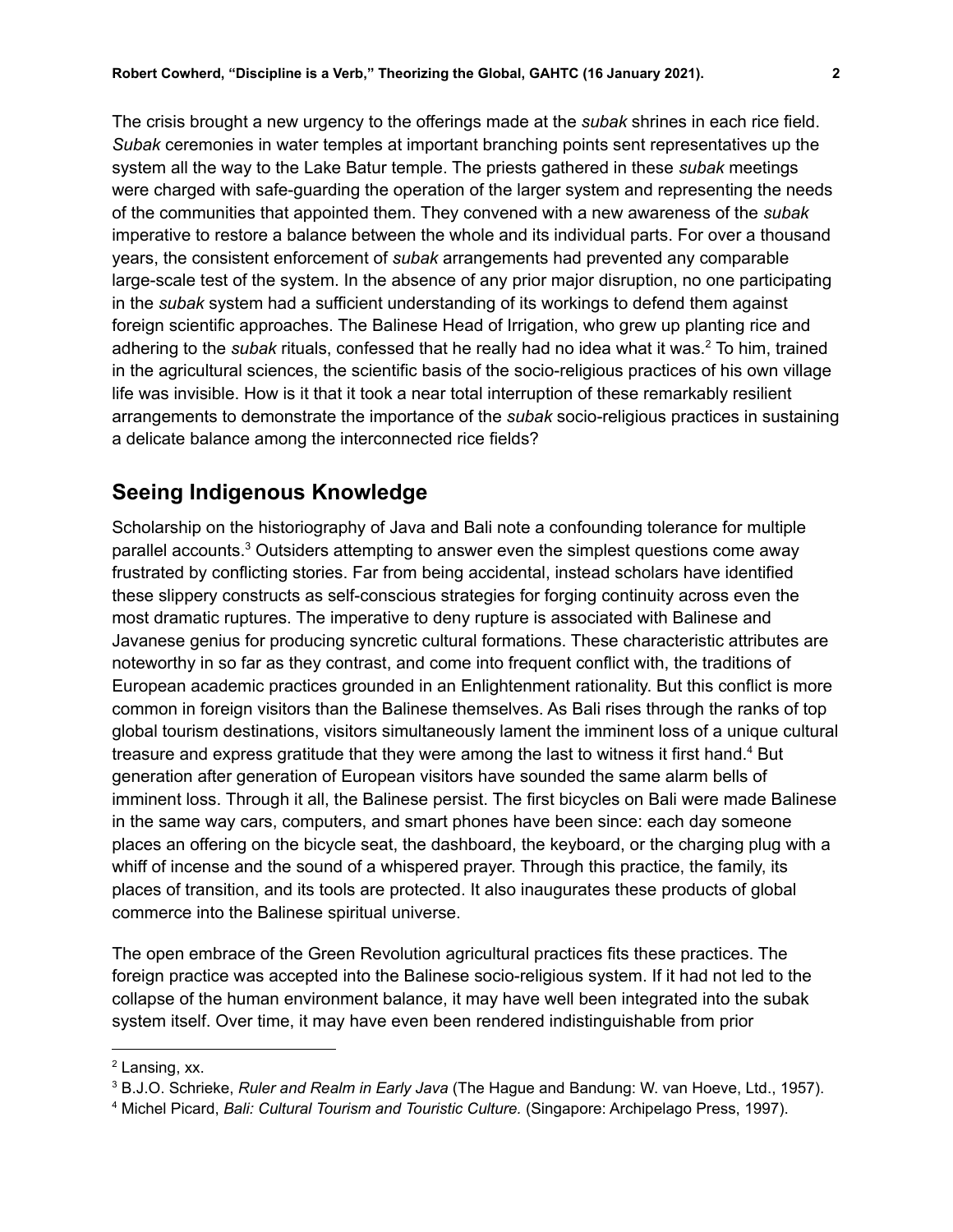The crisis brought a new urgency to the offerings made at the *subak* shrines in each rice field. *Subak* ceremonies in water temples at important branching points sent representatives up the system all the way to the Lake Batur temple. The priests gathered in these *subak* meetings were charged with safe-guarding the operation of the larger system and representing the needs of the communities that appointed them. They convened with a new awareness of the *subak* imperative to restore a balance between the whole and its individual parts. For over a thousand years, the consistent enforcement of *subak* arrangements had prevented any comparable large-scale test of the system. In the absence of any prior major disruption, no one participating in the *subak* system had a sufficient understanding of its workings to defend them against foreign scientific approaches. The Balinese Head of Irrigation, who grew up planting rice and adhering to the *subak* rituals, confessed that he really had no idea what it was. <sup>2</sup> To him, trained in the agricultural sciences, the scientific basis of the socio-religious practices of his own village life was invisible. How is it that it took a near total interruption of these remarkably resilient arrangements to demonstrate the importance of the *subak* socio-religious practices in sustaining a delicate balance among the interconnected rice fields?

## **Seeing Indigenous Knowledge**

Scholarship on the historiography of Java and Bali note a confounding tolerance for multiple parallel accounts.<sup>3</sup> Outsiders attempting to answer even the simplest questions come away frustrated by conflicting stories. Far from being accidental, instead scholars have identified these slippery constructs as self-conscious strategies for forging continuity across even the most dramatic ruptures. The imperative to deny rupture is associated with Balinese and Javanese genius for producing syncretic cultural formations. These characteristic attributes are noteworthy in so far as they contrast, and come into frequent conflict with, the traditions of European academic practices grounded in an Enlightenment rationality. But this conflict is more common in foreign visitors than the Balinese themselves. As Bali rises through the ranks of top global tourism destinations, visitors simultaneously lament the imminent loss of a unique cultural treasure and express gratitude that they were among the last to witness it first hand.<sup>4</sup> But generation after generation of European visitors have sounded the same alarm bells of imminent loss. Through it all, the Balinese persist. The first bicycles on Bali were made Balinese in the same way cars, computers, and smart phones have been since: each day someone places an offering on the bicycle seat, the dashboard, the keyboard, or the charging plug with a whiff of incense and the sound of a whispered prayer. Through this practice, the family, its places of transition, and its tools are protected. It also inaugurates these products of global commerce into the Balinese spiritual universe.

The open embrace of the Green Revolution agricultural practices fits these practices. The foreign practice was accepted into the Balinese socio-religious system. If it had not led to the collapse of the human environment balance, it may have well been integrated into the subak system itself. Over time, it may have even been rendered indistinguishable from prior

<sup>2</sup> [Lansing,](https://www.zotero.org/google-docs/?2vu6E0) xx.

<sup>3</sup> B.J.O. Schrieke, *Ruler and Realm in Early Java* (The Hague and [Bandung:](https://www.zotero.org/google-docs/?kj6Eue) W. van Hoeve, Ltd., 1957).

<sup>4</sup> Michel Picard, *Bali: Cultural Tourism and Touristic Culture.* (Singapore: [Archipelago](https://www.zotero.org/google-docs/?Di8ZnZ) Press, 1997).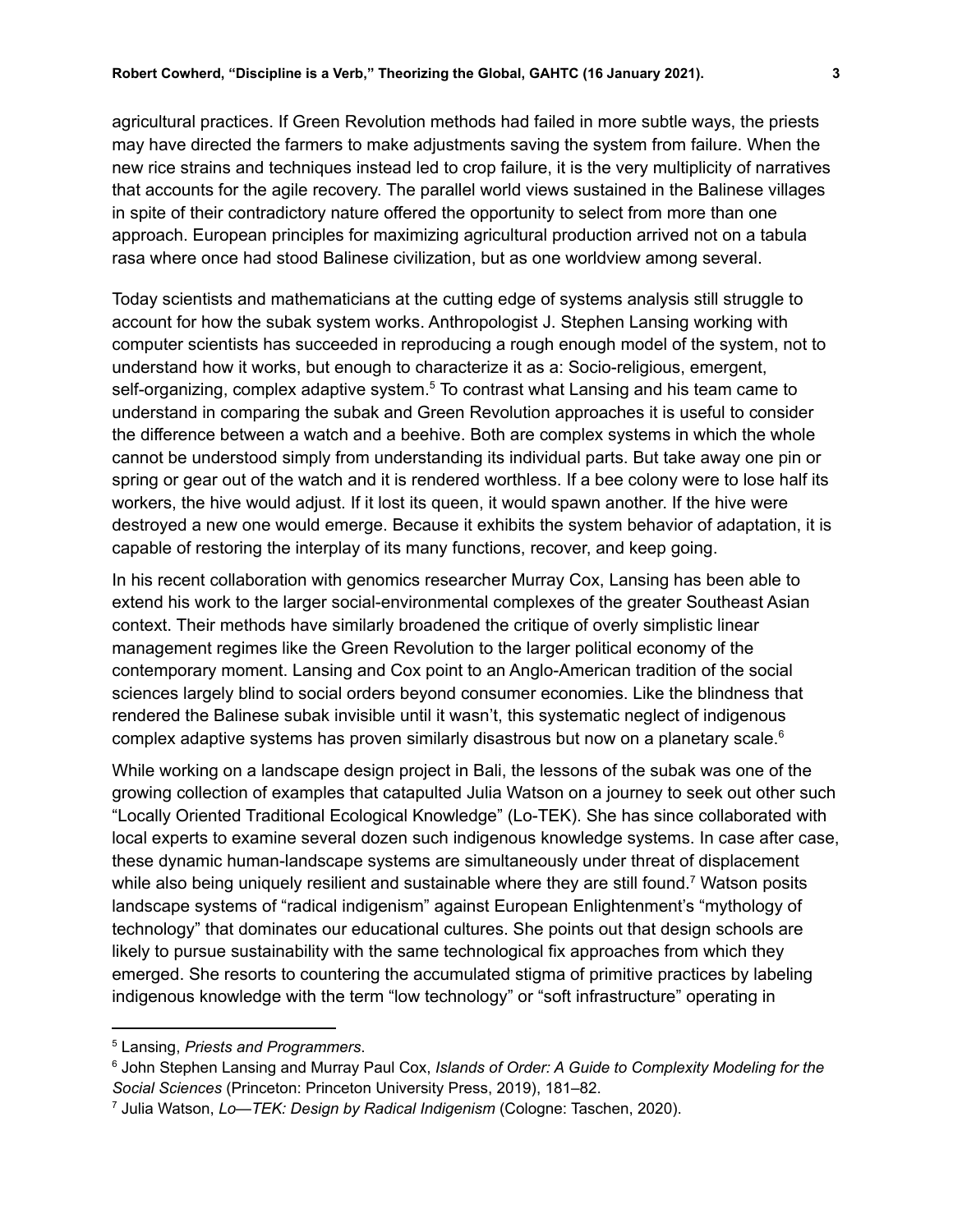agricultural practices. If Green Revolution methods had failed in more subtle ways, the priests may have directed the farmers to make adjustments saving the system from failure. When the new rice strains and techniques instead led to crop failure, it is the very multiplicity of narratives that accounts for the agile recovery. The parallel world views sustained in the Balinese villages in spite of their contradictory nature offered the opportunity to select from more than one approach. European principles for maximizing agricultural production arrived not on a tabula rasa where once had stood Balinese civilization, but as one worldview among several.

Today scientists and mathematicians at the cutting edge of systems analysis still struggle to account for how the subak system works. Anthropologist J. Stephen Lansing working with computer scientists has succeeded in reproducing a rough enough model of the system, not to understand how it works, but enough to characterize it as a: Socio-religious, emergent, self-organizing, complex adaptive system.<sup>5</sup> To contrast what Lansing and his team came to understand in comparing the subak and Green Revolution approaches it is useful to consider the difference between a watch and a beehive. Both are complex systems in which the whole cannot be understood simply from understanding its individual parts. But take away one pin or spring or gear out of the watch and it is rendered worthless. If a bee colony were to lose half its workers, the hive would adjust. If it lost its queen, it would spawn another. If the hive were destroyed a new one would emerge. Because it exhibits the system behavior of adaptation, it is capable of restoring the interplay of its many functions, recover, and keep going.

In his recent collaboration with genomics researcher Murray Cox, Lansing has been able to extend his work to the larger social-environmental complexes of the greater Southeast Asian context. Their methods have similarly broadened the critique of overly simplistic linear management regimes like the Green Revolution to the larger political economy of the contemporary moment. Lansing and Cox point to an Anglo-American tradition of the social sciences largely blind to social orders beyond consumer economies. Like the blindness that rendered the Balinese subak invisible until it wasn't, this systematic neglect of indigenous complex adaptive systems has proven similarly disastrous but now on a planetary scale. 6

While working on a landscape design project in Bali, the lessons of the subak was one of the growing collection of examples that catapulted Julia Watson on a journey to seek out other such "Locally Oriented Traditional Ecological Knowledge" (Lo-TEK). She has since collaborated with local experts to examine several dozen such indigenous knowledge systems. In case after case, these dynamic human-landscape systems are simultaneously under threat of displacement while also being uniquely resilient and sustainable where they are still found.<sup>7</sup> Watson posits landscape systems of "radical indigenism" against European Enlightenment's "mythology of technology" that dominates our educational cultures. She points out that design schools are likely to pursue sustainability with the same technological fix approaches from which they emerged. She resorts to countering the accumulated stigma of primitive practices by labeling indigenous knowledge with the term "low technology" or "soft infrastructure" operating in

<sup>5</sup> Lansing, *Priests and [Programmers](https://www.zotero.org/google-docs/?Vvf0Bv)*.

<sup>6</sup> John Stephen Lansing and Murray Paul Cox, *Islands of Order: A Guide to [Complexity](https://www.zotero.org/google-docs/?BgFe9D) Modeling for the Social Sciences* [\(Princeton:](https://www.zotero.org/google-docs/?BgFe9D) Princeton University Press, 2019), 181–82.

<sup>7</sup> Julia Watson, *Lo—TEK: Design by Radical [Indigenism](https://www.zotero.org/google-docs/?GH9jni)* (Cologne: Taschen, 2020).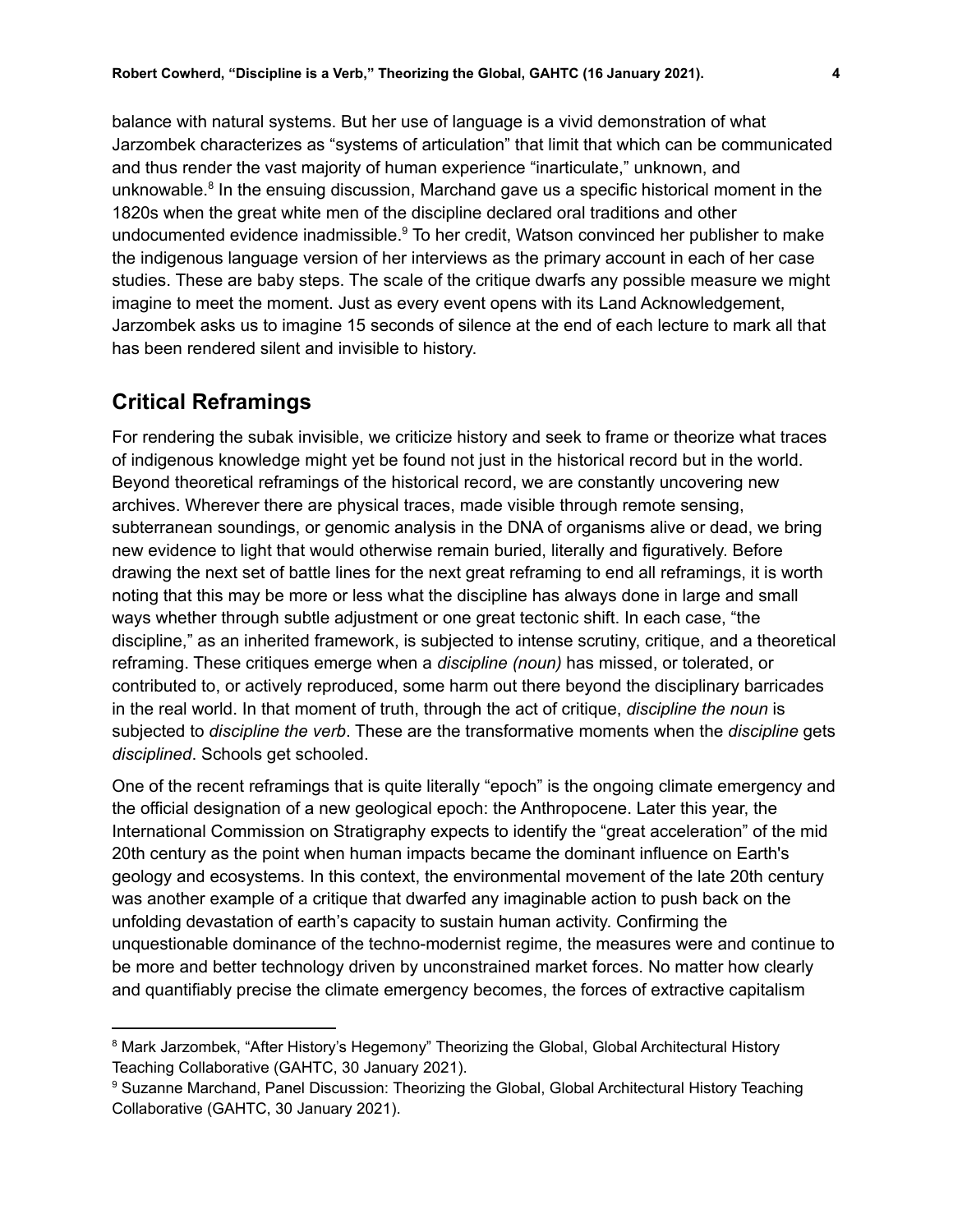balance with natural systems. But her use of language is a vivid demonstration of what Jarzombek characterizes as "systems of articulation" that limit that which can be communicated and thus render the vast majority of human experience "inarticulate," unknown, and unknowable.<sup>8</sup> In the ensuing discussion, Marchand gave us a specific historical moment in the 1820s when the great white men of the discipline declared oral traditions and other undocumented evidence inadmissible.<sup>9</sup> To her credit, Watson convinced her publisher to make the indigenous language version of her interviews as the primary account in each of her case studies. These are baby steps. The scale of the critique dwarfs any possible measure we might imagine to meet the moment. Just as every event opens with its Land Acknowledgement, Jarzombek asks us to imagine 15 seconds of silence at the end of each lecture to mark all that has been rendered silent and invisible to history.

## **Critical Reframings**

For rendering the subak invisible, we criticize history and seek to frame or theorize what traces of indigenous knowledge might yet be found not just in the historical record but in the world. Beyond theoretical reframings of the historical record, we are constantly uncovering new archives. Wherever there are physical traces, made visible through remote sensing, subterranean soundings, or genomic analysis in the DNA of organisms alive or dead, we bring new evidence to light that would otherwise remain buried, literally and figuratively. Before drawing the next set of battle lines for the next great reframing to end all reframings, it is worth noting that this may be more or less what the discipline has always done in large and small ways whether through subtle adjustment or one great tectonic shift. In each case, "the discipline," as an inherited framework, is subjected to intense scrutiny, critique, and a theoretical reframing. These critiques emerge when a *discipline (noun)* has missed, or tolerated, or contributed to, or actively reproduced, some harm out there beyond the disciplinary barricades in the real world. In that moment of truth, through the act of critique, *discipline the noun* is subjected to *discipline the verb*. These are the transformative moments when the *discipline* gets *disciplined*. Schools get schooled.

One of the recent reframings that is quite literally "epoch" is the ongoing climate emergency and the official designation of a new geological epoch: the Anthropocene. Later this year, the International Commission on Stratigraphy expects to identify the "great acceleration" of the mid 20th century as the point when human impacts became the dominant influence on Earth's geology and ecosystems. In this context, the environmental movement of the late 20th century was another example of a critique that dwarfed any imaginable action to push back on the unfolding devastation of earth's capacity to sustain human activity. Confirming the unquestionable dominance of the techno-modernist regime, the measures were and continue to be more and better technology driven by unconstrained market forces. No matter how clearly and quantifiably precise the climate emergency becomes, the forces of extractive capitalism

<sup>&</sup>lt;sup>8</sup> Mark Jarzombek, "After History's [Hegemony"](https://www.zotero.org/google-docs/?hr4inf) Theorizing the Global, Global [Architectural](https://www.zotero.org/google-docs/?yBtUUM) History Teaching [Collaborative](https://www.zotero.org/google-docs/?yBtUUM) (GAHTC, 30 January 2021).

<sup>&</sup>lt;sup>9</sup> Suzanne Marchand, Panel Discussion: Theorizing the Global, Global [Architectural](https://www.zotero.org/google-docs/?9PhBVZ) History Teaching [Collaborative](https://www.zotero.org/google-docs/?9PhBVZ) (GAHTC, 30 January 2021).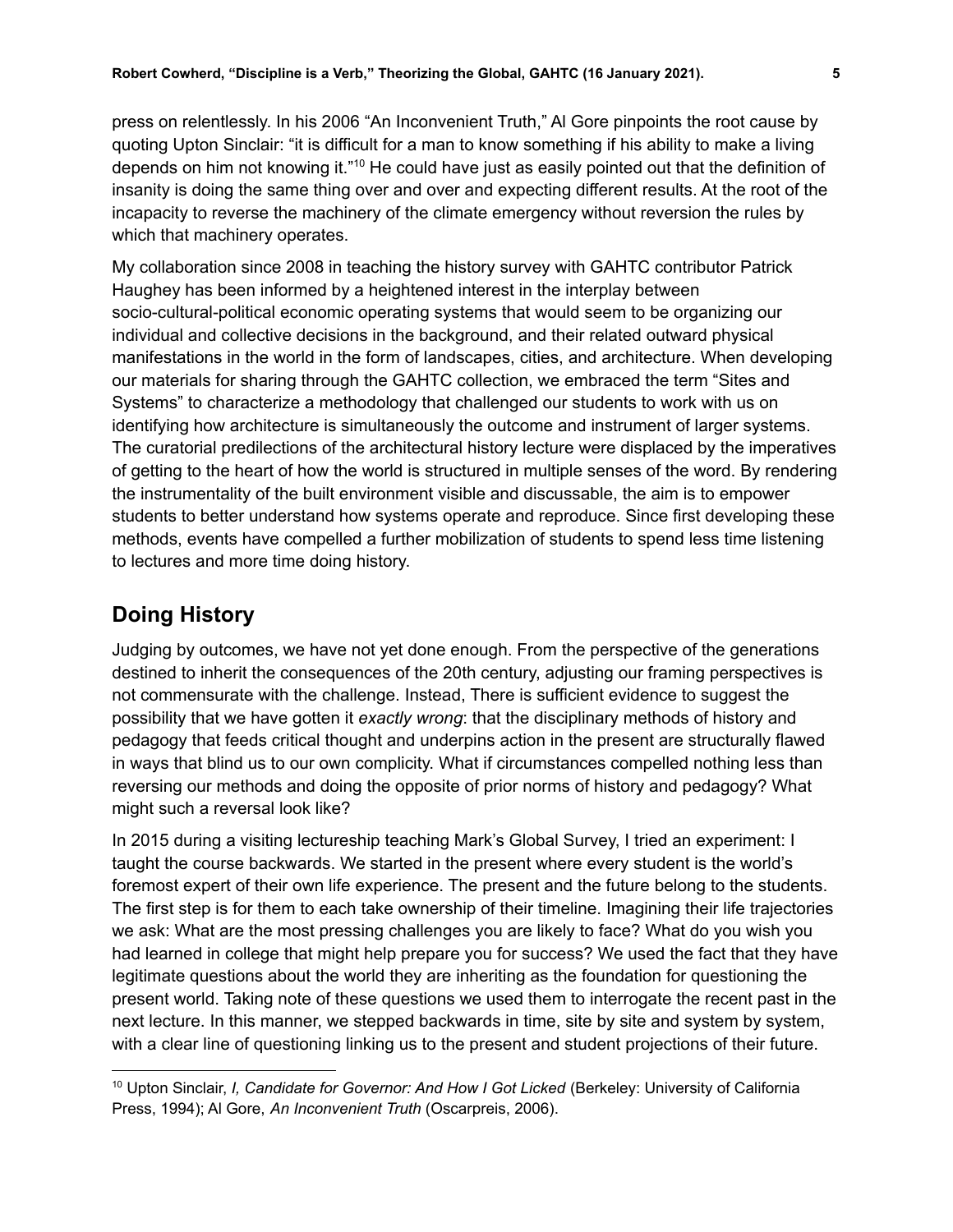press on relentlessly. In his 2006 "An Inconvenient Truth," Al Gore pinpoints the root cause by quoting Upton Sinclair: "it is difficult for a man to know something if his ability to make a living depends on him not knowing it."<sup>10</sup> He could have just as easily pointed out that the definition of insanity is doing the same thing over and over and expecting different results. At the root of the incapacity to reverse the machinery of the climate emergency without reversion the rules by which that machinery operates.

My collaboration since 2008 in teaching the history survey with GAHTC contributor Patrick Haughey has been informed by a heightened interest in the interplay between socio-cultural-political economic operating systems that would seem to be organizing our individual and collective decisions in the background, and their related outward physical manifestations in the world in the form of landscapes, cities, and architecture. When developing our materials for sharing through the GAHTC collection, we embraced the term "Sites and Systems" to characterize a methodology that challenged our students to work with us on identifying how architecture is simultaneously the outcome and instrument of larger systems. The curatorial predilections of the architectural history lecture were displaced by the imperatives of getting to the heart of how the world is structured in multiple senses of the word. By rendering the instrumentality of the built environment visible and discussable, the aim is to empower students to better understand how systems operate and reproduce. Since first developing these methods, events have compelled a further mobilization of students to spend less time listening to lectures and more time doing history.

## **Doing History**

Judging by outcomes, we have not yet done enough. From the perspective of the generations destined to inherit the consequences of the 20th century, adjusting our framing perspectives is not commensurate with the challenge. Instead, There is sufficient evidence to suggest the possibility that we have gotten it *exactly wrong*: that the disciplinary methods of history and pedagogy that feeds critical thought and underpins action in the present are structurally flawed in ways that blind us to our own complicity. What if circumstances compelled nothing less than reversing our methods and doing the opposite of prior norms of history and pedagogy? What might such a reversal look like?

In 2015 during a visiting lectureship teaching Mark's Global Survey, I tried an experiment: I taught the course backwards. We started in the present where every student is the world's foremost expert of their own life experience. The present and the future belong to the students. The first step is for them to each take ownership of their timeline. Imagining their life trajectories we ask: What are the most pressing challenges you are likely to face? What do you wish you had learned in college that might help prepare you for success? We used the fact that they have legitimate questions about the world they are inheriting as the foundation for questioning the present world. Taking note of these questions we used them to interrogate the recent past in the next lecture. In this manner, we stepped backwards in time, site by site and system by system, with a clear line of questioning linking us to the present and student projections of their future.

<sup>10</sup> Upton Sinclair, *I, [Candidate](https://www.zotero.org/google-docs/?5ouddZ) for Governor: And How I Got Licked* (Berkeley: University of California Press, 1994); Al Gore, *An [Inconvenient](https://www.zotero.org/google-docs/?5ouddZ) Truth* (Oscarpreis, 2006).